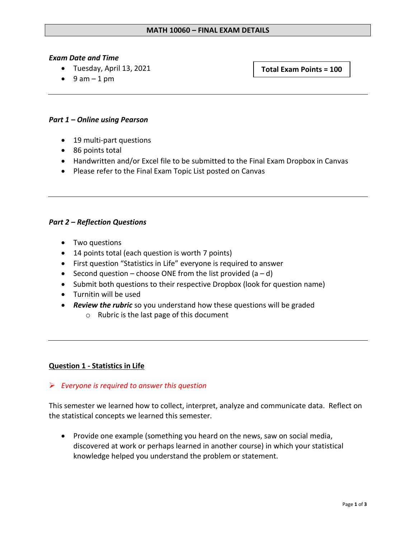#### *Exam Date and Time*

• Tuesday, April 13, 2021

**Total Exam Points = 100**

 $\bullet$  9 am – 1 pm

## *Part 1 – Online using Pearson*

- 19 multi-part questions
- 86 points total
- Handwritten and/or Excel file to be submitted to the Final Exam Dropbox in Canvas
- Please refer to the Final Exam Topic List posted on Canvas

## *Part 2 – Reflection Questions*

- Two questions
- 14 points total (each question is worth 7 points)
- First question "Statistics in Life" everyone is required to answer
- Second question choose ONE from the list provided  $(a d)$
- Submit both questions to their respective Dropbox (look for question name)
- Turnitin will be used
- *Review the rubric* so you understand how these questions will be graded
	- o Rubric is the last page of this document

## **Question 1 - Statistics in Life**

## ➢ *Everyone is required to answer this question*

This semester we learned how to collect, interpret, analyze and communicate data. Reflect on the statistical concepts we learned this semester.

• Provide one example (something you heard on the news, saw on social media, discovered at work or perhaps learned in another course) in which your statistical knowledge helped you understand the problem or statement.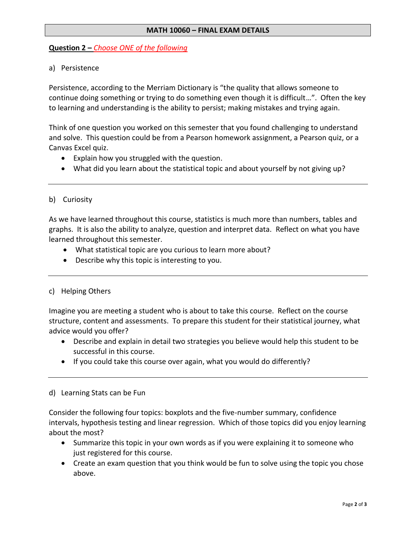## **MATH 10060 – FINAL EXAM DETAILS**

## **Question 2 –** *Choose ONE of the following*

## a) Persistence

Persistence, according to the Merriam Dictionary is "the quality that allows someone to continue doing something or trying to do something even though it is difficult…". Often the key to learning and understanding is the ability to persist; making mistakes and trying again.

Think of one question you worked on this semester that you found challenging to understand and solve. This question could be from a Pearson homework assignment, a Pearson quiz, or a Canvas Excel quiz.

- Explain how you struggled with the question.
- What did you learn about the statistical topic and about yourself by not giving up?

## b) Curiosity

As we have learned throughout this course, statistics is much more than numbers, tables and graphs. It is also the ability to analyze, question and interpret data. Reflect on what you have learned throughout this semester.

- What statistical topic are you curious to learn more about?
- Describe why this topic is interesting to you.

## c) Helping Others

Imagine you are meeting a student who is about to take this course. Reflect on the course structure, content and assessments. To prepare this student for their statistical journey, what advice would you offer?

- Describe and explain in detail two strategies you believe would help this student to be successful in this course.
- If you could take this course over again, what you would do differently?

#### d) Learning Stats can be Fun

Consider the following four topics: boxplots and the five-number summary, confidence intervals, hypothesis testing and linear regression. Which of those topics did you enjoy learning about the most?

- Summarize this topic in your own words as if you were explaining it to someone who just registered for this course.
- Create an exam question that you think would be fun to solve using the topic you chose above.